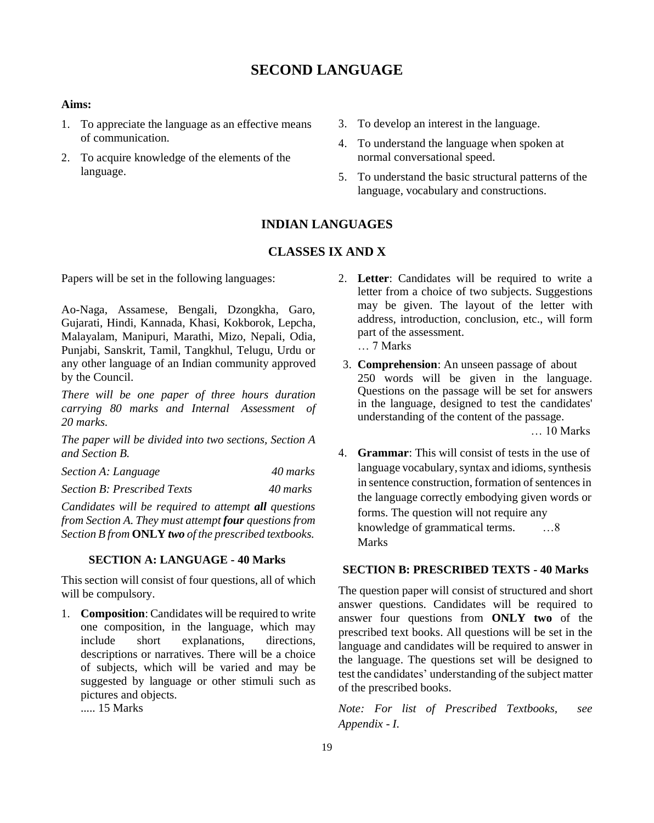# **SECOND LANGUAGE**

#### **Aims:**

- 1. To appreciate the language as an effective means of communication.
- 2. To acquire knowledge of the elements of the language.
- 3. To develop an interest in the language.
- 4. To understand the language when spoken at normal conversational speed.
- 5. To understand the basic structural patterns of the language, vocabulary and constructions.

### **INDIAN LANGUAGES**

### **CLASSES IX AND X**

Papers will be set in the following languages:

Ao-Naga, Assamese, Bengali, Dzongkha, Garo, Gujarati, Hindi, Kannada, Khasi, Kokborok, Lepcha, Malayalam, Manipuri, Marathi, Mizo, Nepali, Odia, Punjabi, Sanskrit, Tamil, Tangkhul, Telugu, Urdu or any other language of an Indian community approved by the Council.

*There will be one paper of three hours duration carrying 80 marks and Internal Assessment of 20 marks.*

*The paper will be divided into two sections, Section A and Section B.*

*Section A: Language 40 marks*

*Section B: Prescribed Texts 40 marks*

*Candidates will be required to attempt all questions from Section A. They must attempt four questions from Section B from* **ONLY** *two of the prescribed textbooks.*

#### **SECTION A: LANGUAGE - 40 Marks**

This section will consist of four questions, all of which will be compulsory.

1. **Composition**: Candidates will be required to write one composition, in the language, which may include short explanations, directions, descriptions or narratives. There will be a choice of subjects, which will be varied and may be suggested by language or other stimuli such as pictures and objects.

..... 15 Marks

- 2. **Letter**: Candidates will be required to write a letter from a choice of two subjects. Suggestions may be given. The layout of the letter with address, introduction, conclusion, etc., will form part of the assessment. … 7 Marks
- 3. **Comprehension**: An unseen passage of about 250 words will be given in the language. Questions on the passage will be set for answers in the language, designed to test the candidates' understanding of the content of the passage.

… 10 Marks

4. **Grammar**: This will consist of tests in the use of language vocabulary, syntax and idioms, synthesis in sentence construction, formation of sentences in the language correctly embodying given words or forms. The question will not require any knowledge of grammatical terms. …8 Marks

### **SECTION B: PRESCRIBED TEXTS - 40 Marks**

The question paper will consist of structured and short answer questions. Candidates will be required to answer four questions from **ONLY two** of the prescribed text books. All questions will be set in the language and candidates will be required to answer in the language. The questions set will be designed to test the candidates' understanding of the subject matter of the prescribed books.

*Note: For list of Prescribed Textbooks, see Appendix - I.*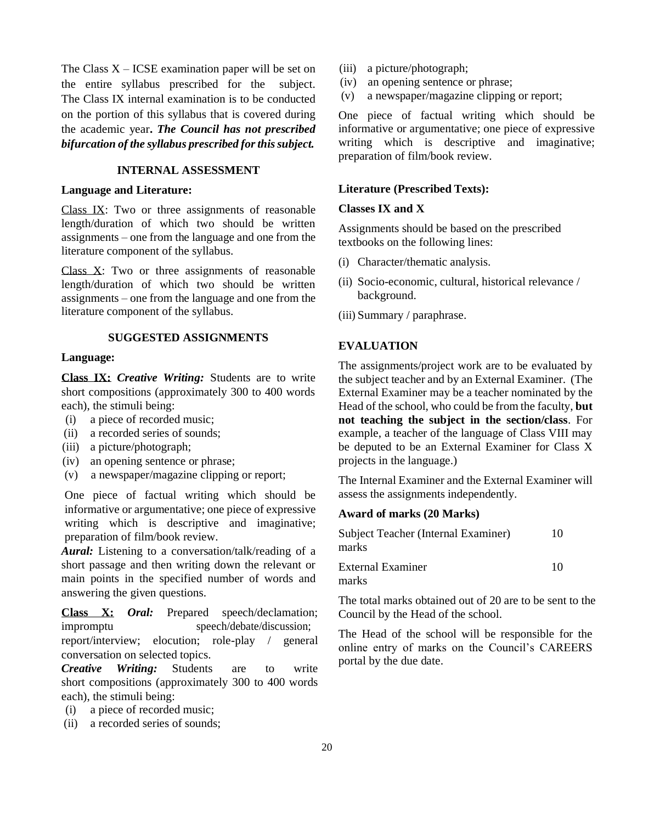The Class  $X - ICSE$  examination paper will be set on the entire syllabus prescribed for the subject. The Class IX internal examination is to be conducted on the portion of this syllabus that is covered during the academic year**.** *The Council has not prescribed bifurcation of the syllabus prescribed forthissubject.*

### **INTERNAL ASSESSMENT**

#### **Language and Literature:**

Class IX: Two or three assignments of reasonable length/duration of which two should be written assignments – one from the language and one from the literature component of the syllabus.

Class X: Two or three assignments of reasonable length/duration of which two should be written assignments – one from the language and one from the literature component of the syllabus.

#### **SUGGESTED ASSIGNMENTS**

#### **Language:**

**Class IX:** *Creative Writing:* Students are to write short compositions (approximately 300 to 400 words each), the stimuli being:

- (i) a piece of recorded music;
- (ii) a recorded series of sounds;
- (iii) a picture/photograph;
- (iv) an opening sentence or phrase;
- (v) a newspaper/magazine clipping or report;

One piece of factual writing which should be informative or argumentative; one piece of expressive writing which is descriptive and imaginative; preparation of film/book review.

*Aural:* Listening to a conversation/talk/reading of a short passage and then writing down the relevant or main points in the specified number of words and answering the given questions.

**Class X:** *Oral:* Prepared speech/declamation; impromptu speech/debate/discussion;

report/interview; elocution; role-play / general conversation on selected topics.

*Creative Writing:* Students are to write short compositions (approximately 300 to 400 words each), the stimuli being:

- (i) a piece of recorded music;
- (ii) a recorded series of sounds;
- (iii) a picture/photograph;
- (iv) an opening sentence or phrase;
- (v) a newspaper/magazine clipping or report;

One piece of factual writing which should be informative or argumentative; one piece of expressive writing which is descriptive and imaginative; preparation of film/book review.

#### **Literature (Prescribed Texts):**

#### **Classes IX and X**

Assignments should be based on the prescribed textbooks on the following lines:

- (i) Character/thematic analysis.
- (ii) Socio-economic, cultural, historical relevance / background.
- (iii) Summary / paraphrase.

#### **EVALUATION**

The assignments/project work are to be evaluated by the subject teacher and by an External Examiner. (The External Examiner may be a teacher nominated by the Head of the school, who could be from the faculty, **but not teaching the subject in the section/class**. For example, a teacher of the language of Class VIII may be deputed to be an External Examiner for Class X projects in the language.)

The Internal Examiner and the External Examiner will assess the assignments independently.

#### **Award of marks (20 Marks)**

| Subject Teacher (Internal Examiner)<br>marks | 10 |
|----------------------------------------------|----|
| External Examiner<br>marks                   | 10 |

The total marks obtained out of 20 are to be sent to the Council by the Head of the school.

The Head of the school will be responsible for the online entry of marks on the Council's CAREERS portal by the due date.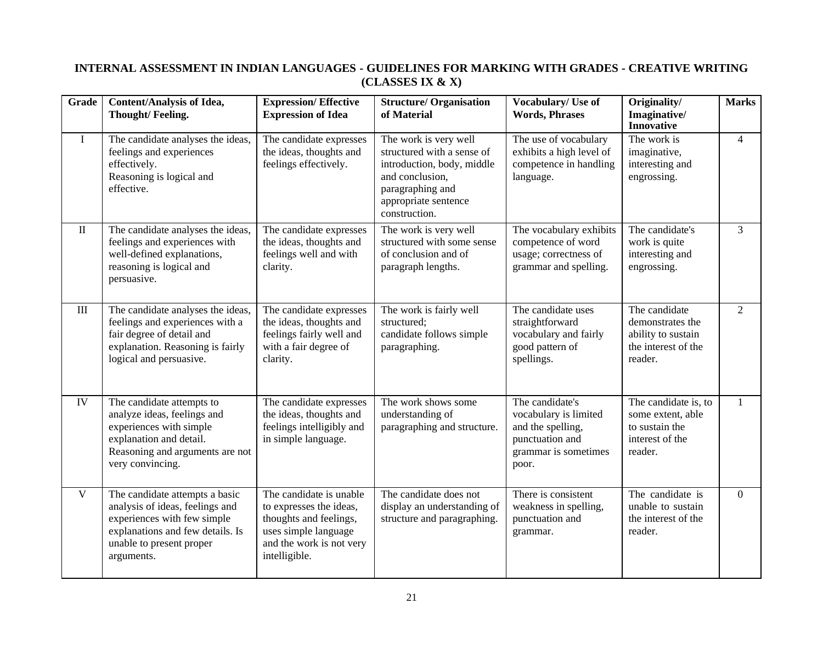## **INTERNAL ASSESSMENT IN INDIAN LANGUAGES - GUIDELINES FOR MARKING WITH GRADES - CREATIVE WRITING (CLASSES IX & X)**

| Grade        | Content/Analysis of Idea,<br>Thought/Feeling.                                                                                                                                  | <b>Expression/Effective</b><br><b>Expression of Idea</b>                                                                                          | <b>Structure/ Organisation</b><br>of Material                                                                                                                     | Vocabulary/ Use of<br><b>Words, Phrases</b>                                                                       | Originality/<br>Imaginative/<br><b>Innovative</b>                                         | <b>Marks</b>   |
|--------------|--------------------------------------------------------------------------------------------------------------------------------------------------------------------------------|---------------------------------------------------------------------------------------------------------------------------------------------------|-------------------------------------------------------------------------------------------------------------------------------------------------------------------|-------------------------------------------------------------------------------------------------------------------|-------------------------------------------------------------------------------------------|----------------|
| $\bf{I}$     | The candidate analyses the ideas,<br>feelings and experiences<br>effectively.<br>Reasoning is logical and<br>effective.                                                        | The candidate expresses<br>the ideas, thoughts and<br>feelings effectively.                                                                       | The work is very well<br>structured with a sense of<br>introduction, body, middle<br>and conclusion,<br>paragraphing and<br>appropriate sentence<br>construction. | The use of vocabulary<br>exhibits a high level of<br>competence in handling<br>language.                          | The work is<br>imaginative,<br>interesting and<br>engrossing.                             | $\overline{4}$ |
| $\rm II$     | The candidate analyses the ideas,<br>feelings and experiences with<br>well-defined explanations,<br>reasoning is logical and<br>persuasive.                                    | The candidate expresses<br>the ideas, thoughts and<br>feelings well and with<br>clarity.                                                          | The work is very well<br>structured with some sense<br>of conclusion and of<br>paragraph lengths.                                                                 | The vocabulary exhibits<br>competence of word<br>usage; correctness of<br>grammar and spelling.                   | The candidate's<br>work is quite<br>interesting and<br>engrossing.                        | 3              |
| III          | The candidate analyses the ideas,<br>feelings and experiences with a<br>fair degree of detail and<br>explanation. Reasoning is fairly<br>logical and persuasive.               | The candidate expresses<br>the ideas, thoughts and<br>feelings fairly well and<br>with a fair degree of<br>clarity.                               | The work is fairly well<br>structured;<br>candidate follows simple<br>paragraphing.                                                                               | The candidate uses<br>straightforward<br>vocabulary and fairly<br>good pattern of<br>spellings.                   | The candidate<br>demonstrates the<br>ability to sustain<br>the interest of the<br>reader. | 2              |
| ${\rm IV}$   | The candidate attempts to<br>analyze ideas, feelings and<br>experiences with simple<br>explanation and detail.<br>Reasoning and arguments are not<br>very convincing.          | The candidate expresses<br>the ideas, thoughts and<br>feelings intelligibly and<br>in simple language.                                            | The work shows some<br>understanding of<br>paragraphing and structure.                                                                                            | The candidate's<br>vocabulary is limited<br>and the spelling,<br>punctuation and<br>grammar is sometimes<br>poor. | The candidate is, to<br>some extent, able<br>to sustain the<br>interest of the<br>reader. | $\mathbf{1}$   |
| $\mathbf{V}$ | The candidate attempts a basic<br>analysis of ideas, feelings and<br>experiences with few simple<br>explanations and few details. Is<br>unable to present proper<br>arguments. | The candidate is unable<br>to expresses the ideas,<br>thoughts and feelings,<br>uses simple language<br>and the work is not very<br>intelligible. | The candidate does not<br>display an understanding of<br>structure and paragraphing.                                                                              | There is consistent<br>weakness in spelling,<br>punctuation and<br>grammar.                                       | The candidate is<br>unable to sustain<br>the interest of the<br>reader.                   | $\Omega$       |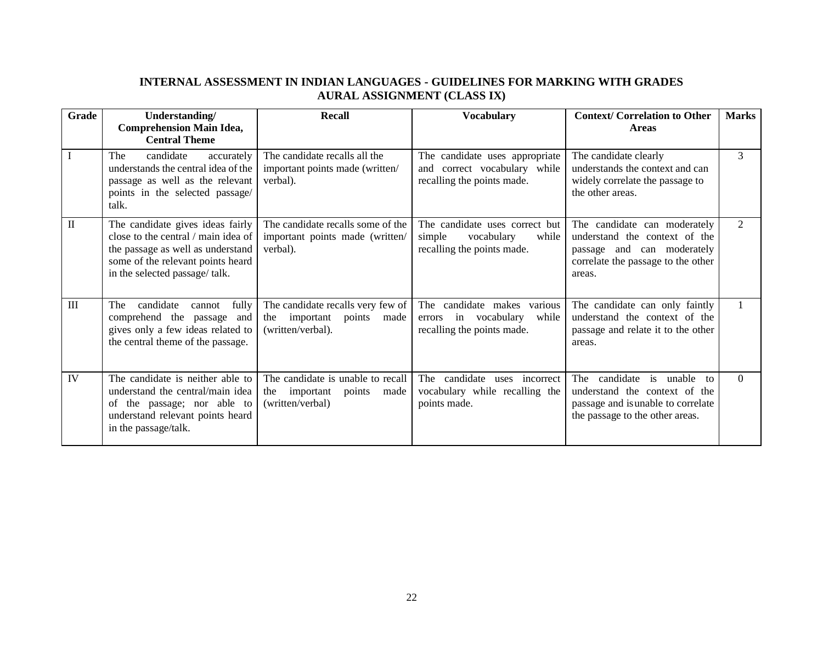## **INTERNAL ASSESSMENT IN INDIAN LANGUAGES - GUIDELINES FOR MARKING WITH GRADES AURAL ASSIGNMENT (CLASS IX)**

| Grade     | Understanding/<br><b>Comprehension Main Idea,</b><br><b>Central Theme</b>                                                                                                           | <b>Recall</b>                                                                             | <b>Vocabulary</b>                                                                             | <b>Context/Correlation to Other</b><br><b>Areas</b>                                                                                                        | <b>Marks</b>   |
|-----------|-------------------------------------------------------------------------------------------------------------------------------------------------------------------------------------|-------------------------------------------------------------------------------------------|-----------------------------------------------------------------------------------------------|------------------------------------------------------------------------------------------------------------------------------------------------------------|----------------|
|           | candidate<br>The<br>accurately<br>understands the central idea of the<br>passage as well as the relevant<br>points in the selected passage/<br>talk.                                | The candidate recalls all the<br>important points made (written/<br>verbal).              | The candidate uses appropriate<br>and correct vocabulary while<br>recalling the points made.  | The candidate clearly<br>understands the context and can<br>widely correlate the passage to<br>the other areas.                                            | 3              |
| $\rm II$  | The candidate gives ideas fairly<br>close to the central / main idea of<br>the passage as well as understand<br>some of the relevant points heard<br>in the selected passage/ talk. | The candidate recalls some of the<br>important points made (written/<br>verbal).          | The candidate uses correct but<br>simple<br>vocabulary<br>while<br>recalling the points made. | The candidate can moderately<br>understand the context of the<br>passage and can moderately<br>correlate the passage to the other<br>areas.                | $\mathfrak{D}$ |
| III       | candidate<br>fully<br>The<br>cannot<br>comprehend the passage<br>and<br>gives only a few ideas related to<br>the central theme of the passage.                                      | The candidate recalls very few of<br>the important<br>points<br>made<br>(written/verbal). | The candidate makes various<br>errors in vocabulary<br>while<br>recalling the points made.    | The candidate can only faintly<br>understand the context of the<br>passage and relate it to the other<br>areas.                                            |                |
| <b>IV</b> | The candidate is neither able to<br>understand the central/main idea<br>of the passage; nor able to<br>understand relevant points heard<br>in the passage/talk.                     | The candidate is unable to recall<br>important points<br>the<br>made<br>(written/verbal)  | The candidate<br>incorrect<br>uses<br>vocabulary while recalling the<br>points made.          | candidate<br>is<br>unable<br>The<br>$f_{\Omega}$<br>understand the context of the<br>passage and is unable to correlate<br>the passage to the other areas. | $\Omega$       |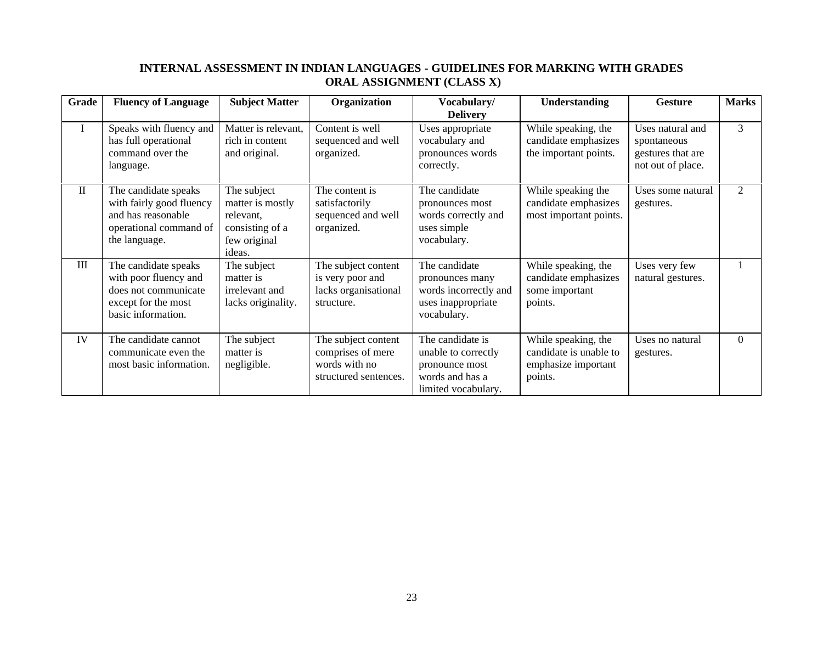## **INTERNAL ASSESSMENT IN INDIAN LANGUAGES - GUIDELINES FOR MARKING WITH GRADES ORAL ASSIGNMENT (CLASS X)**

| Grade        | <b>Fluency of Language</b>                                                                                         | <b>Subject Matter</b>                                                                     | Organization                                                                       | Vocabulary/                                                                                         | <b>Understanding</b>                                                            | <b>Gesture</b>                                                            | <b>Marks</b>   |
|--------------|--------------------------------------------------------------------------------------------------------------------|-------------------------------------------------------------------------------------------|------------------------------------------------------------------------------------|-----------------------------------------------------------------------------------------------------|---------------------------------------------------------------------------------|---------------------------------------------------------------------------|----------------|
|              |                                                                                                                    |                                                                                           |                                                                                    | <b>Delivery</b>                                                                                     |                                                                                 |                                                                           |                |
| $\bf{I}$     | Speaks with fluency and<br>has full operational<br>command over the<br>language.                                   | Matter is relevant,<br>rich in content<br>and original.                                   | Content is well<br>sequenced and well<br>organized.                                | Uses appropriate<br>vocabulary and<br>pronounces words<br>correctly.                                | While speaking, the<br>candidate emphasizes<br>the important points.            | Uses natural and<br>spontaneous<br>gestures that are<br>not out of place. | 3              |
| $\mathbf{I}$ | The candidate speaks<br>with fairly good fluency<br>and has reasonable<br>operational command of<br>the language.  | The subject<br>matter is mostly<br>relevant,<br>consisting of a<br>few original<br>ideas. | The content is<br>satisfactorily<br>sequenced and well<br>organized.               | The candidate<br>pronounces most<br>words correctly and<br>uses simple<br>vocabulary.               | While speaking the<br>candidate emphasizes<br>most important points.            | Uses some natural<br>gestures.                                            | $\overline{2}$ |
| Ш            | The candidate speaks<br>with poor fluency and<br>does not communicate<br>except for the most<br>basic information. | The subject<br>matter is<br>irrelevant and<br>lacks originality.                          | The subject content<br>is very poor and<br>lacks organisational<br>structure.      | The candidate<br>pronounces many<br>words incorrectly and<br>uses inappropriate<br>vocabulary.      | While speaking, the<br>candidate emphasizes<br>some important<br>points.        | Uses very few<br>natural gestures.                                        |                |
| IV           | The candidate cannot<br>communicate even the<br>most basic information.                                            | The subject<br>matter is<br>negligible.                                                   | The subject content<br>comprises of mere<br>words with no<br>structured sentences. | The candidate is<br>unable to correctly<br>pronounce most<br>words and has a<br>limited vocabulary. | While speaking, the<br>candidate is unable to<br>emphasize important<br>points. | Uses no natural<br>gestures.                                              | $\Omega$       |